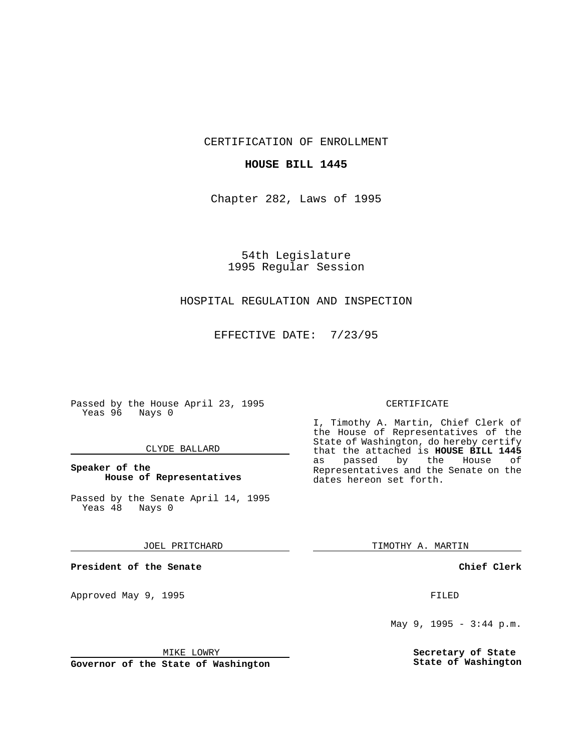CERTIFICATION OF ENROLLMENT

# **HOUSE BILL 1445**

Chapter 282, Laws of 1995

54th Legislature 1995 Regular Session

# HOSPITAL REGULATION AND INSPECTION

EFFECTIVE DATE: 7/23/95

Passed by the House April 23, 1995 Yeas 96 Nays 0

## CLYDE BALLARD

# **Speaker of the House of Representatives**

Passed by the Senate April 14, 1995<br>Yeas 48 Nays 0 Yeas 48

#### JOEL PRITCHARD

**President of the Senate**

Approved May 9, 1995 **FILED** 

#### MIKE LOWRY

**Governor of the State of Washington**

#### CERTIFICATE

I, Timothy A. Martin, Chief Clerk of the House of Representatives of the State of Washington, do hereby certify that the attached is **HOUSE BILL 1445** as passed by the Representatives and the Senate on the dates hereon set forth.

TIMOTHY A. MARTIN

## **Chief Clerk**

May 9, 1995 - 3:44 p.m.

**Secretary of State State of Washington**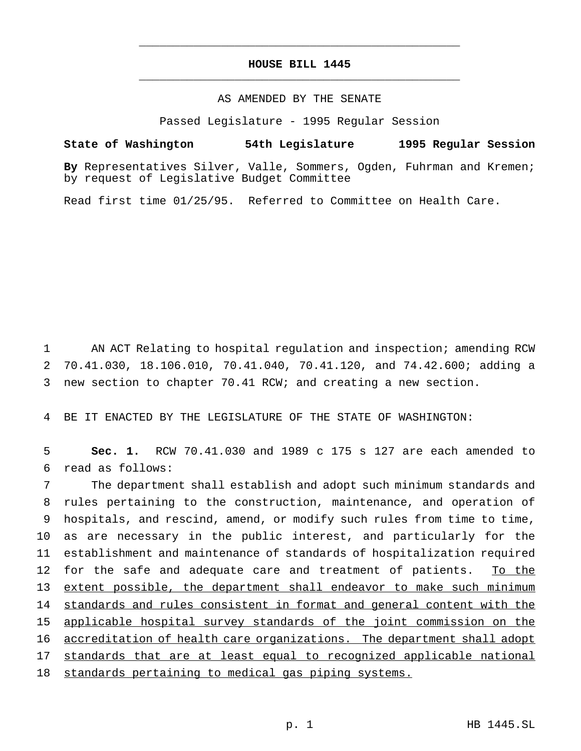# **HOUSE BILL 1445** \_\_\_\_\_\_\_\_\_\_\_\_\_\_\_\_\_\_\_\_\_\_\_\_\_\_\_\_\_\_\_\_\_\_\_\_\_\_\_\_\_\_\_\_\_\_\_

\_\_\_\_\_\_\_\_\_\_\_\_\_\_\_\_\_\_\_\_\_\_\_\_\_\_\_\_\_\_\_\_\_\_\_\_\_\_\_\_\_\_\_\_\_\_\_

# AS AMENDED BY THE SENATE

Passed Legislature - 1995 Regular Session

**State of Washington 54th Legislature 1995 Regular Session**

**By** Representatives Silver, Valle, Sommers, Ogden, Fuhrman and Kremen; by request of Legislative Budget Committee

Read first time 01/25/95. Referred to Committee on Health Care.

1 AN ACT Relating to hospital regulation and inspection; amending RCW 2 70.41.030, 18.106.010, 70.41.040, 70.41.120, and 74.42.600; adding a 3 new section to chapter 70.41 RCW; and creating a new section.

4 BE IT ENACTED BY THE LEGISLATURE OF THE STATE OF WASHINGTON:

5 **Sec. 1.** RCW 70.41.030 and 1989 c 175 s 127 are each amended to 6 read as follows:

 The department shall establish and adopt such minimum standards and rules pertaining to the construction, maintenance, and operation of hospitals, and rescind, amend, or modify such rules from time to time, as are necessary in the public interest, and particularly for the establishment and maintenance of standards of hospitalization required 12 for the safe and adequate care and treatment of patients. To the extent possible, the department shall endeavor to make such minimum standards and rules consistent in format and general content with the applicable hospital survey standards of the joint commission on the accreditation of health care organizations. The department shall adopt 17 standards that are at least equal to recognized applicable national 18 standards pertaining to medical gas piping systems.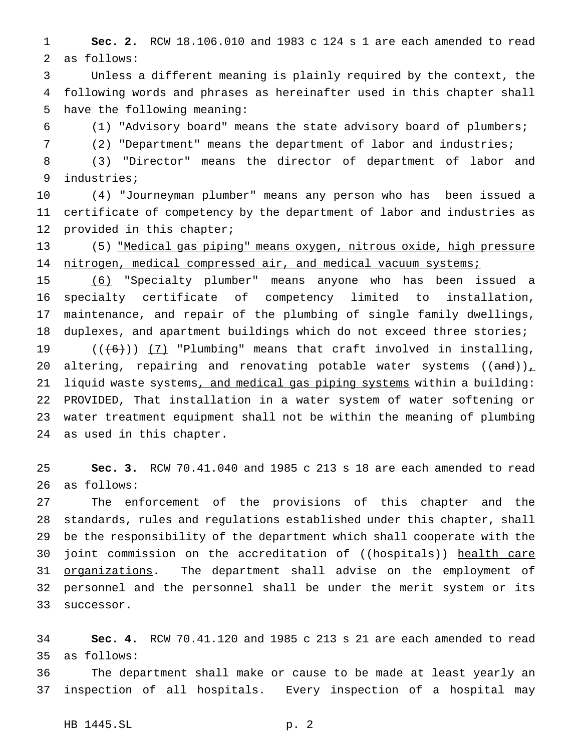**Sec. 2.** RCW 18.106.010 and 1983 c 124 s 1 are each amended to read as follows:

 Unless a different meaning is plainly required by the context, the following words and phrases as hereinafter used in this chapter shall have the following meaning:

(1) "Advisory board" means the state advisory board of plumbers;

(2) "Department" means the department of labor and industries;

 (3) "Director" means the director of department of labor and industries;

 (4) "Journeyman plumber" means any person who has been issued a certificate of competency by the department of labor and industries as provided in this chapter;

 (5) "Medical gas piping" means oxygen, nitrous oxide, high pressure 14 nitrogen, medical compressed air, and medical vacuum systems;

 (6) "Specialty plumber" means anyone who has been issued a specialty certificate of competency limited to installation, maintenance, and repair of the plumbing of single family dwellings, duplexes, and apartment buildings which do not exceed three stories;  $((+6))$   $(7)$  "Plumbing" means that craft involved in installing, 20 altering, repairing and renovating potable water systems  $((and))_{\perp}$ 21 liquid waste systems, and medical gas piping systems within a building: PROVIDED, That installation in a water system of water softening or water treatment equipment shall not be within the meaning of plumbing as used in this chapter.

 **Sec. 3.** RCW 70.41.040 and 1985 c 213 s 18 are each amended to read as follows:

 The enforcement of the provisions of this chapter and the standards, rules and regulations established under this chapter, shall be the responsibility of the department which shall cooperate with the 30 joint commission on the accreditation of ((hospitals)) health care 31 <u>organizations</u>. The department shall advise on the employment of personnel and the personnel shall be under the merit system or its successor.

 **Sec. 4.** RCW 70.41.120 and 1985 c 213 s 21 are each amended to read as follows:

 The department shall make or cause to be made at least yearly an inspection of all hospitals. Every inspection of a hospital may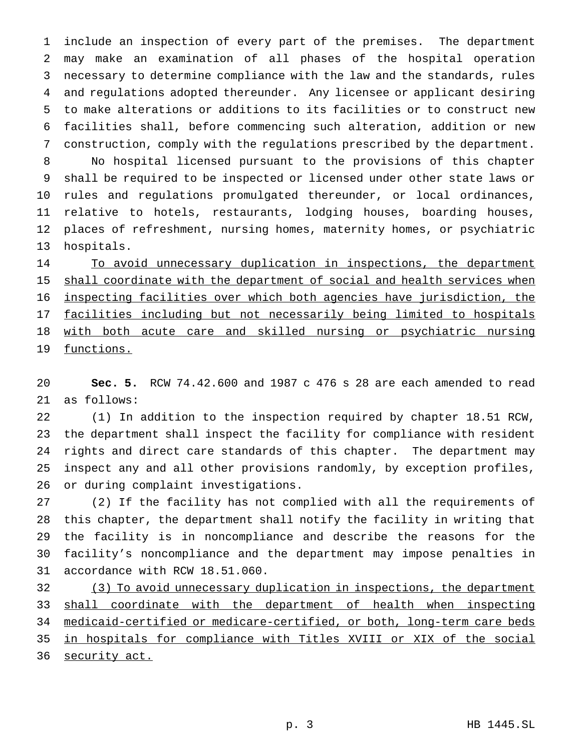include an inspection of every part of the premises. The department may make an examination of all phases of the hospital operation necessary to determine compliance with the law and the standards, rules and regulations adopted thereunder. Any licensee or applicant desiring to make alterations or additions to its facilities or to construct new facilities shall, before commencing such alteration, addition or new construction, comply with the regulations prescribed by the department.

 No hospital licensed pursuant to the provisions of this chapter shall be required to be inspected or licensed under other state laws or rules and regulations promulgated thereunder, or local ordinances, relative to hotels, restaurants, lodging houses, boarding houses, places of refreshment, nursing homes, maternity homes, or psychiatric hospitals.

14 To avoid unnecessary duplication in inspections, the department 15 shall coordinate with the department of social and health services when inspecting facilities over which both agencies have jurisdiction, the facilities including but not necessarily being limited to hospitals with both acute care and skilled nursing or psychiatric nursing 19 functions.

 **Sec. 5.** RCW 74.42.600 and 1987 c 476 s 28 are each amended to read as follows:

 (1) In addition to the inspection required by chapter 18.51 RCW, the department shall inspect the facility for compliance with resident rights and direct care standards of this chapter. The department may inspect any and all other provisions randomly, by exception profiles, or during complaint investigations.

 (2) If the facility has not complied with all the requirements of this chapter, the department shall notify the facility in writing that the facility is in noncompliance and describe the reasons for the facility's noncompliance and the department may impose penalties in accordance with RCW 18.51.060.

 (3) To avoid unnecessary duplication in inspections, the department shall coordinate with the department of health when inspecting medicaid-certified or medicare-certified, or both, long-term care beds in hospitals for compliance with Titles XVIII or XIX of the social 36 security act.